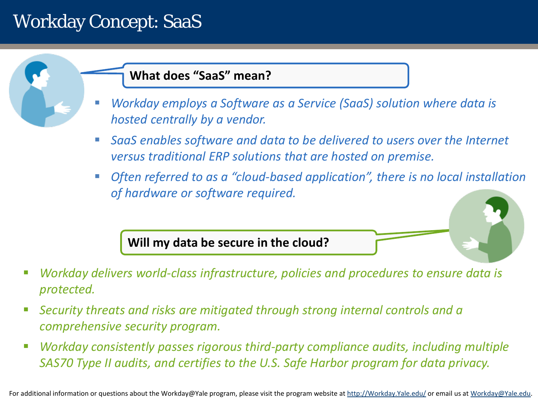# Workday Concept: SaaS

#### **What does "SaaS" mean?**

- *Workday employs a Software as a Service (SaaS) solution where data is hosted centrally by a vendor.*
- **SaaS** enables software and data to be delivered to users over the Internet *versus traditional ERP solutions that are hosted on premise.*
- **Often referred to as a "cloud-based application", there is no local installation** *of hardware or software required.*

**Will my data be secure in the cloud?**

- *Workday delivers world-class infrastructure, policies and procedures to ensure data is protected.*
- *Security threats and risks are mitigated through strong internal controls and a comprehensive security program.*
- *Workday consistently passes rigorous third-party compliance audits, including multiple SAS70 Type II audits, and certifies to the U.S. Safe Harbor program for data privacy.*